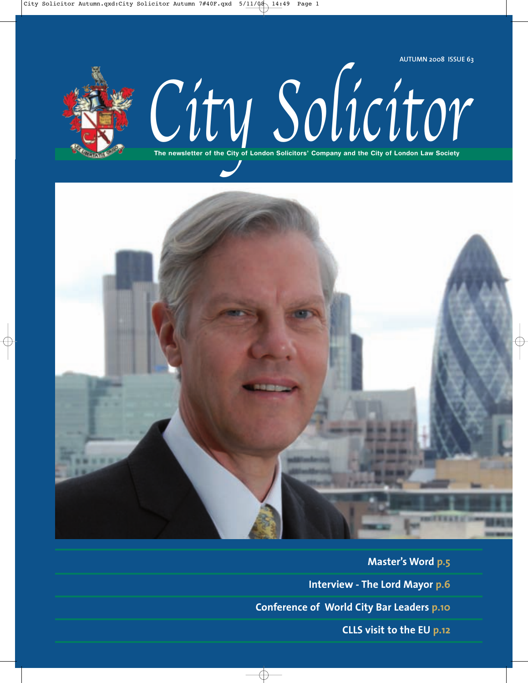





**Master's Word p.5 Interview - The Lord Mayor p.6 Conference of World City Bar Leaders p.10 CLLS visit to the EU p.12**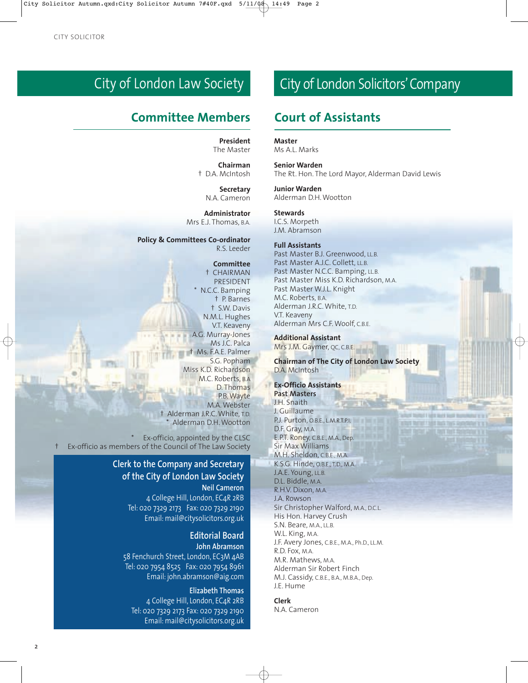# City of London Law Society

### **Committee Members Court of Assistants**

**President** The Master

**Chairman** † D.A. McIntosh

> **Secretary** N.A. Cameron

**Administrator** Mrs E.J. Thomas, B.A.

**Policy & Committees Co-ordinator** R.S. Leeder

#### **Committee**

† CHAIRMAN PRESIDENT \* N.C.C. Bamping † P. Barnes † S.W. Davis N.M.L. Hughes V.T. Keaveny A.G. Murray-Jones Ms J.C. Palca † Ms. F.A.E. Palmer S.G. Popham Miss K.D. Richardson M.C. Roberts, B.A D. Thomas P.B. Wayte M.A. Webster † Alderman J.R.C. White, T.D. Alderman D.H. Wootton

Ex-officio, appointed by the CLSC † Ex-officio as members of the Council of The Law Society

### **Clerk to the Company and Secretary of the City of London Law Society**

**Neil Cameron** 4 College Hill, London, EC4R 2RB Tel: 020 7329 2173 Fax: 020 7329 2190 Email: mail@citysolicitors.org.uk

> **Editorial Board John Abramson**

58 Fenchurch Street, London, EC3M 4AB Tel: 020 7954 8525 Fax: 020 7954 8961 Email: john.abramson@aig.com

**Elizabeth Thomas** 4 College Hill, London, EC4R 2RB Tel: 020 7329 2173 Fax: 020 7329 2190 Email: mail@citysolicitors.org.uk

# City of London Solicitors' Company

**Master**

Ms A.L. Marks

**Senior Warden** The Rt. Hon. The Lord Mayor, Alderman David Lewis

**Junior Warden** Alderman D.H. Wootton

**Stewards**

I.C.S. Morpeth J.M. Abramson

### **Full Assistants**

Past Master B.J. Greenwood, LL.B. Past Master A.J.C. Collett, LL.B. Past Master N.C.C. Bamping, LL.B. Past Master Miss K.D. Richardson, M.A. Past Master W.J.L. Knight M.C. Roberts, B.A. Alderman J.R.C. White, T.D. V.T. Keaveny Alderman Mrs C.F. Woolf, C.B.E.

**Additional Assistant** Mrs J.M. Gaymer, QC, C.B.E.

**Chairman of The City of London Law Society** D.A. McIntosh

### **Ex-Officio Assistants**

**Past Masters** J.H. Snaith J. Guillaume P.J. Purton, O.B.E., L.M.R.T.P.I. D.F. Gray, M.A. E.P.T. Roney, C.B.E., M.A., Dep. Sir Max Williams M.H. Sheldon, C.B.E., M.A. K.S.G. Hinde, O.B.E., T.D., M.A. J.A.E. Young, LL.B. D.L. Biddle, M.A. R.H.V. Dixon, M.A. J.A. Rowson Sir Christopher Walford, M.A., D.C.L. His Hon. Harvey Crush S.N. Beare, M.A., LL.B. W.L. King, M.A. J.F. Avery Jones, C.B.E., M.A., Ph.D., LL.M. R.D. Fox, M.A. M.R. Mathews, M.A. Alderman Sir Robert Finch M.J. Cassidy, C.B.E., B.A., M.B.A., Dep. J.E. Hume

#### **Clerk**

N.A. Cameron

 $\overline{2}$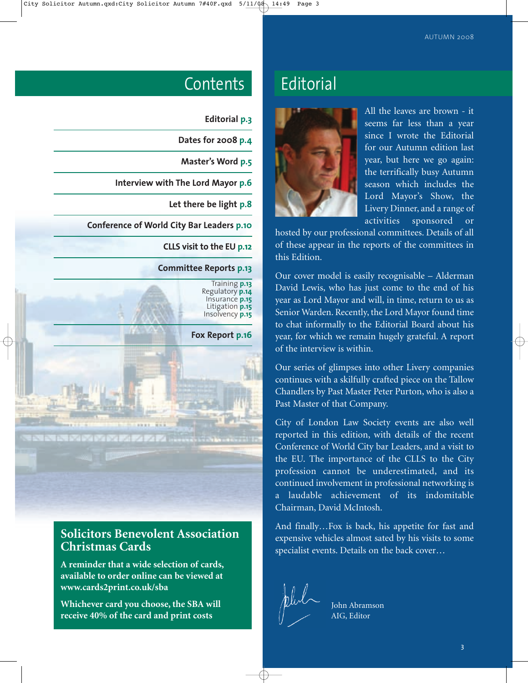| <b>Editorial p.3</b>                             |  |
|--------------------------------------------------|--|
| Dates for 2008 p.4                               |  |
| Master's Word p.5                                |  |
| Interview with The Lord Mayor p.6                |  |
| Let there be light p.8                           |  |
| <b>Conference of World City Bar Leaders p.10</b> |  |
| <b>CLLS visit to the EU p.12</b>                 |  |
| <b>Committee Reports p.13</b>                    |  |
| Training p.13<br>Regulatory <b>p.14</b>          |  |

Regulatory **p.14** Insurance **p.15** Litigation **p.15** Insolvency **p.15**

**Fox Report p.16**

### **Solicitors Benevolent Association Christmas Cards**

**A reminder that a wide selection of cards, available to order online can be viewed at www.cards2print.co.uk/sba**

**Whichever card you choose, the SBA will receive 40% of the card and print costs**

# Contents Editorial



All the leaves are brown - it seems far less than a year since I wrote the Editorial for our Autumn edition last year, but here we go again: the terrifically busy Autumn season which includes the Lord Mayor's Show, the Livery Dinner, and a range of activities sponsored or

hosted by our professional committees. Details of all of these appear in the reports of the committees in this Edition.

Our cover model is easily recognisable – Alderman David Lewis, who has just come to the end of his year as Lord Mayor and will, in time, return to us as Senior Warden. Recently, the Lord Mayor found time to chat informally to the Editorial Board about his year, for which we remain hugely grateful. A report of the interview is within.

Our series of glimpses into other Livery companies continues with a skilfully crafted piece on the Tallow Chandlers by Past Master Peter Purton, who is also a Past Master of that Company.

City of London Law Society events are also well reported in this edition, with details of the recent Conference of World City bar Leaders, and a visit to the EU. The importance of the CLLS to the City profession cannot be underestimated, and its continued involvement in professional networking is a laudable achievement of its indomitable Chairman, David McIntosh.

And finally…Fox is back, his appetite for fast and expensive vehicles almost sated by his visits to some specialist events. Details on the back cover…



John Abramson AIG, Editor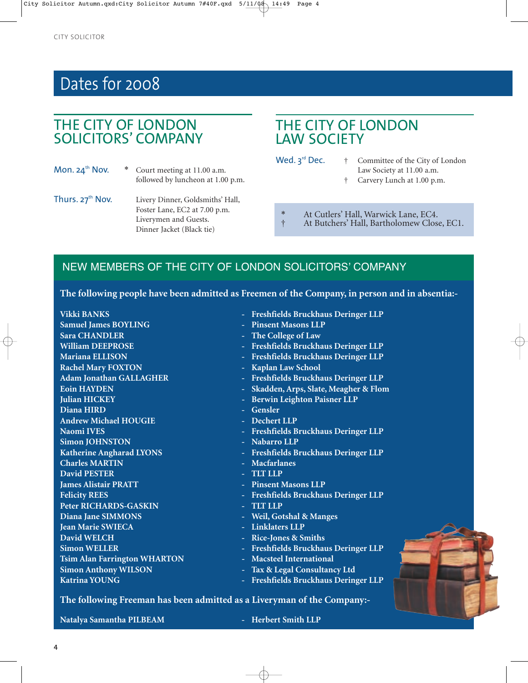# Dates for 2008

## THE CITY OF LONDON SOLICITORS' COMPANY

- 
- Mon. 24<sup>th</sup> Nov. \* Court meeting at 11.00 a.m. followed by luncheon at 1.00 p.m.
- Thurs. 27<sup>th</sup> Nov. Livery Dinner, Goldsmiths' Hall, Foster Lane, EC2 at 7.00 p.m. Liverymen and Guests. Dinner Jacket (Black tie)

## THE CITY OF LONDON LAW SOCIETY

- Wed.  $3^{rd}$  Dec.  $\dagger$  Committee of the City of London Law Society at 11.00 a.m.
	- † Carvery Lunch at 1.00 p.m.
	- \* At Cutlers' Hall, Warwick Lane, EC4.
		- † At Butchers' Hall, Bartholomew Close, EC1.

### NEW MEMBERS OF THE CITY OF LONDON SOLICITORS' COMPANY

**The following people have been admitted as Freemen of the Company, in person and in absentia:-**

| <b>Vikki BANKS</b>                  | - Freshfields Bruckhaus Deringer LLP           |
|-------------------------------------|------------------------------------------------|
| <b>Samuel James BOYLING</b>         | - Pinsent Masons LLP                           |
| <b>Sara CHANDLER</b>                | - The College of Law                           |
| <b>William DEEPROSE</b>             | - Freshfields Bruckhaus Deringer LLP           |
| <b>Mariana ELLISON</b>              | Freshfields Bruckhaus Deringer LLP<br>÷        |
| <b>Rachel Mary FOXTON</b>           | Kaplan Law School                              |
| <b>Adam Jonathan GALLAGHER</b>      | - Freshfields Bruckhaus Deringer LLP           |
| <b>Eoin HAYDEN</b>                  | Skadden, Arps, Slate, Meagher & Flom<br>÷      |
| <b>Julian HICKEY</b>                | - Berwin Leighton Paisner LLP                  |
| Diana HIRD                          | - Gensler                                      |
| <b>Andrew Michael HOUGIE</b>        | - Dechert LLP                                  |
| <b>Naomi IVES</b>                   | <b>Freshfields Bruckhaus Deringer LLP</b><br>÷ |
| <b>Simon JOHNSTON</b>               | - Nabarro LLP                                  |
| <b>Katherine Angharad LYONS</b>     | - Freshfields Bruckhaus Deringer LLP           |
| <b>Charles MARTIN</b>               | - Macfarlanes                                  |
| <b>David PESTER</b>                 | - TLT LLP                                      |
| <b>James Alistair PRATT</b>         | - Pinsent Masons LLP                           |
| <b>Felicity REES</b>                | Freshfields Bruckhaus Deringer LLP<br>٠        |
| <b>Peter RICHARDS-GASKIN</b>        | <b>TLT LLP</b>                                 |
| Diana Jane SIMMONS                  | Weil, Gotshal & Manges<br>÷.                   |
| <b>Jean Marie SWIECA</b>            | - Linklaters LLP                               |
| <b>David WELCH</b>                  | <b>Rice-Jones &amp; Smiths</b>                 |
| <b>Simon WELLER</b>                 | Freshfields Bruckhaus Deringer LLP<br>÷        |
| <b>Tsim Alan Farrington WHARTON</b> | <b>Macsteel International</b>                  |
| <b>Simon Anthony WILSON</b>         | Tax & Legal Consultancy Ltd                    |
| <b>Katrina YOUNG</b>                | Freshfields Bruckhaus Deringer LLP<br>$\equiv$ |
|                                     |                                                |

**The following Freeman has been admitted as a Liveryman of the Company:-**

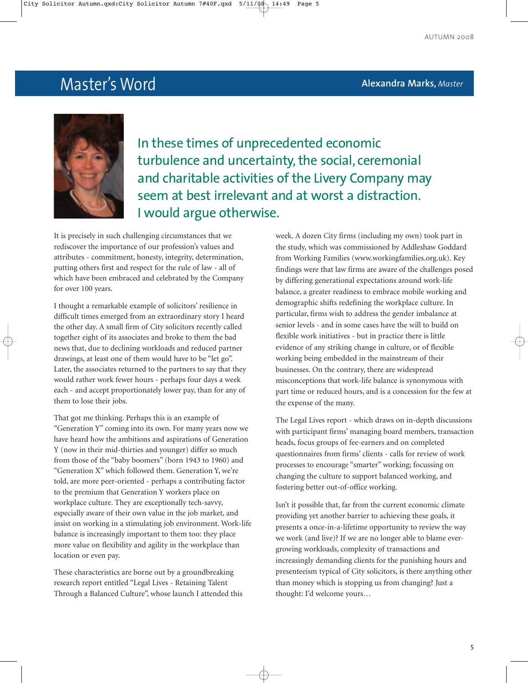# Master's Word **Alexandra Marks,** *Master*



In these times of unprecedented economic turbulence and uncertainty, the social, ceremonial and charitable activities of the Livery Company may seem at best irrelevant and at worst a distraction. I would argue otherwise.

It is precisely in such challenging circumstances that we rediscover the importance of our profession's values and attributes - commitment, honesty, integrity, determination, putting others first and respect for the rule of law - all of which have been embraced and celebrated by the Company for over 100 years.

I thought a remarkable example of solicitors' resilience in difficult times emerged from an extraordinary story I heard the other day. A small firm of City solicitors recently called together eight of its associates and broke to them the bad news that, due to declining workloads and reduced partner drawings, at least one of them would have to be "let go". Later, the associates returned to the partners to say that they would rather work fewer hours - perhaps four days a week each - and accept proportionately lower pay, than for any of them to lose their jobs.

That got me thinking. Perhaps this is an example of "Generation Y" coming into its own. For many years now we have heard how the ambitions and aspirations of Generation Y (now in their mid-thirties and younger) differ so much from those of the "baby boomers" (born 1943 to 1960) and "Generation X" which followed them. Generation Y, we're told, are more peer-oriented - perhaps a contributing factor to the premium that Generation Y workers place on workplace culture. They are exceptionally tech-savvy, especially aware of their own value in the job market, and insist on working in a stimulating job environment. Work-life balance is increasingly important to them too: they place more value on flexibility and agility in the workplace than location or even pay.

These characteristics are borne out by a groundbreaking research report entitled "Legal Lives - Retaining Talent Through a Balanced Culture", whose launch I attended this week. A dozen City firms (including my own) took part in the study, which was commissioned by Addleshaw Goddard from Working Families (www.workingfamilies.org.uk). Key findings were that law firms are aware of the challenges posed by differing generational expectations around work-life balance, a greater readiness to embrace mobile working and demographic shifts redefining the workplace culture. In particular, firms wish to address the gender imbalance at senior levels - and in some cases have the will to build on flexible work initiatives - but in practice there is little evidence of any striking change in culture, or of flexible working being embedded in the mainstream of their businesses. On the contrary, there are widespread misconceptions that work-life balance is synonymous with part time or reduced hours, and is a concession for the few at the expense of the many.

The Legal Lives report - which draws on in-depth discussions with participant firms' managing board members, transaction heads, focus groups of fee-earners and on completed questionnaires from firms' clients - calls for review of work processes to encourage "smarter" working; focussing on changing the culture to support balanced working, and fostering better out-of-office working.

Isn't it possible that, far from the current economic climate providing yet another barrier to achieving these goals, it presents a once-in-a-lifetime opportunity to review the way we work (and live)? If we are no longer able to blame evergrowing workloads, complexity of transactions and increasingly demanding clients for the punishing hours and presenteeism typical of City solicitors, is there anything other than money which is stopping us from changing? Just a thought: I'd welcome yours…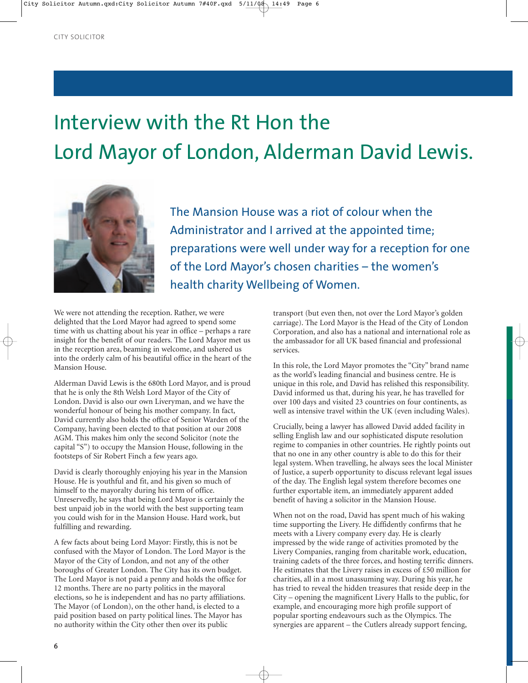# Interview with the Rt Hon the Lord Mayor of London, Alderman David Lewis.



The Mansion House was a riot of colour when the Administrator and I arrived at the appointed time; preparations were well under way for a reception for one of the Lord Mayor's chosen charities – the women's health charity Wellbeing of Women.

We were not attending the reception. Rather, we were delighted that the Lord Mayor had agreed to spend some time with us chatting about his year in office – perhaps a rare insight for the benefit of our readers. The Lord Mayor met us in the reception area, beaming in welcome, and ushered us into the orderly calm of his beautiful office in the heart of the Mansion House.

Alderman David Lewis is the 680th Lord Mayor, and is proud that he is only the 8th Welsh Lord Mayor of the City of London. David is also our own Liveryman, and we have the wonderful honour of being his mother company. In fact, David currently also holds the office of Senior Warden of the Company, having been elected to that position at our 2008 AGM. This makes him only the second Solicitor (note the capital "S") to occupy the Mansion House, following in the footsteps of Sir Robert Finch a few years ago.

David is clearly thoroughly enjoying his year in the Mansion House. He is youthful and fit, and his given so much of himself to the mayoralty during his term of office. Unreservedly, he says that being Lord Mayor is certainly the best unpaid job in the world with the best supporting team you could wish for in the Mansion House. Hard work, but fulfilling and rewarding.

A few facts about being Lord Mayor: Firstly, this is not be confused with the Mayor of London. The Lord Mayor is the Mayor of the City of London, and not any of the other boroughs of Greater London. The City has its own budget. The Lord Mayor is not paid a penny and holds the office for 12 months. There are no party politics in the mayoral elections, so he is independent and has no party affiliations. The Mayor (of London), on the other hand, is elected to a paid position based on party political lines. The Mayor has no authority within the City other then over its public

transport (but even then, not over the Lord Mayor's golden carriage). The Lord Mayor is the Head of the City of London Corporation, and also has a national and international role as the ambassador for all UK based financial and professional services.

In this role, the Lord Mayor promotes the "City" brand name as the world's leading financial and business centre. He is unique in this role, and David has relished this responsibility. David informed us that, during his year, he has travelled for over 100 days and visited 23 countries on four continents, as well as intensive travel within the UK (even including Wales).

Crucially, being a lawyer has allowed David added facility in selling English law and our sophisticated dispute resolution regime to companies in other countries. He rightly points out that no one in any other country is able to do this for their legal system. When travelling, he always sees the local Minister of Justice, a superb opportunity to discuss relevant legal issues of the day. The English legal system therefore becomes one further exportable item, an immediately apparent added benefit of having a solicitor in the Mansion House.

When not on the road, David has spent much of his waking time supporting the Livery. He diffidently confirms that he meets with a Livery company every day. He is clearly impressed by the wide range of activities promoted by the Livery Companies, ranging from charitable work, education, training cadets of the three forces, and hosting terrific dinners. He estimates that the Livery raises in excess of £50 million for charities, all in a most unassuming way. During his year, he has tried to reveal the hidden treasures that reside deep in the City – opening the magnificent Livery Halls to the public, for example, and encouraging more high profile support of popular sporting endeavours such as the Olympics. The synergies are apparent – the Cutlers already support fencing,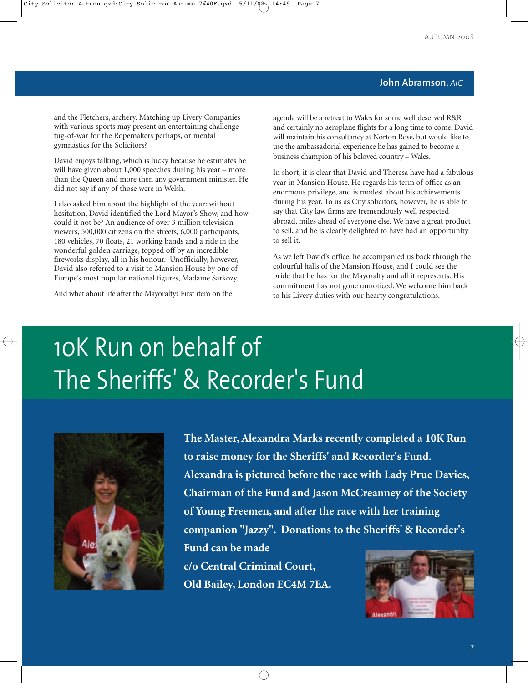### **John Abramson,** *AIG*

and the Fletchers, archery. Matching up Livery Companies with various sports may present an entertaining challenge – tug-of-war for the Ropemakers perhaps, or mental gymnastics for the Solicitors?

David enjoys talking, which is lucky because he estimates he will have given about 1,000 speeches during his year – more than the Queen and more then any government minister. He did not say if any of those were in Welsh.

I also asked him about the highlight of the year: without hesitation, David identified the Lord Mayor's Show, and how could it not be? An audience of over 3 million television viewers, 500,000 citizens on the streets, 6,000 participants, 180 vehicles, 70 floats, 21 working bands and a ride in the wonderful golden carriage, topped off by an incredible fireworks display, all in his honour. Unofficially, however, David also referred to a visit to Mansion House by one of Europe's most popular national figures, Madame Sarkozy.

And what about life after the Mayoralty? First item on the

agenda will be a retreat to Wales for some well deserved R&R and certainly no aeroplane flights for a long time to come. David will maintain his consultancy at Norton Rose, but would like to use the ambassadorial experience he has gained to become a business champion of his beloved country – Wales.

In short, it is clear that David and Theresa have had a fabulous year in Mansion House. He regards his term of office as an enormous privilege, and is modest about his achievements during his year. To us as City solicitors, however, he is able to say that City law firms are tremendously well respected abroad, miles ahead of everyone else. We have a great product to sell, and he is clearly delighted to have had an opportunity to sell it.

As we left David's office, he accompanied us back through the colourful halls of the Mansion House, and I could see the pride that he has for the Mayoralty and all it represents. His commitment has not gone unnoticed. We welcome him back to his Livery duties with our hearty congratulations.

# 10K Run on behalf of The Sheriffs' & Recorder's Fund



**The Master, Alexandra Marks recently completed a 10K Run to raise money for the Sheriffs' and Recorder's Fund. Alexandra is pictured before the race with Lady Prue Davies, Chairman of the Fund and Jason McCreanney of the Society of Young Freemen, and after the race with her training companion "Jazzy". Donations to the Sheriffs' & Recorder's**

**c/o Central Criminal Court, Old Bailey, London EC4M 7EA.**

**Fund can be made** 

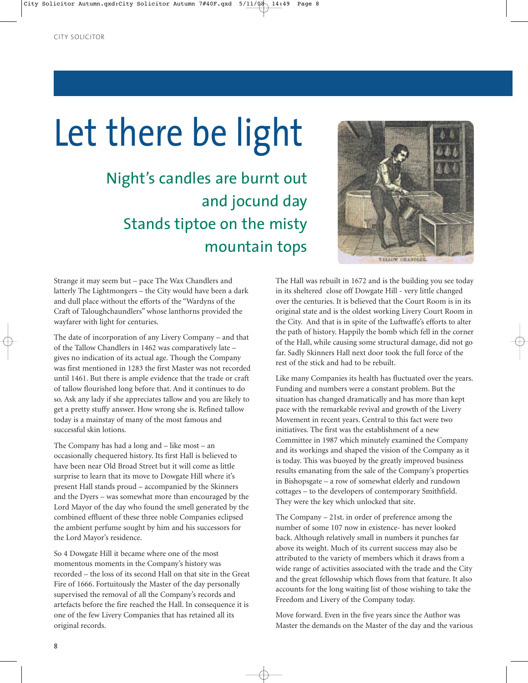# Let there be light

Night's candles are burnt out and jocund day Stands tiptoe on the misty mountain tops

Strange it may seem but – pace The Wax Chandlers and latterly The Lightmongers – the City would have been a dark and dull place without the efforts of the "Wardyns of the Craft of Taloughchaundlers" whose lanthorns provided the wayfarer with light for centuries.

The date of incorporation of any Livery Company – and that of the Tallow Chandlers in 1462 was comparatively late – gives no indication of its actual age. Though the Company was first mentioned in 1283 the first Master was not recorded until 1461. But there is ample evidence that the trade or craft of tallow flourished long before that. And it continues to do so. Ask any lady if she appreciates tallow and you are likely to get a pretty stuffy answer. How wrong she is. Refined tallow today is a mainstay of many of the most famous and successful skin lotions.

The Company has had a long and – like most – an occasionally chequered history. Its first Hall is believed to have been near Old Broad Street but it will come as little surprise to learn that its move to Dowgate Hill where it's present Hall stands proud – accompanied by the Skinners and the Dyers – was somewhat more than encouraged by the Lord Mayor of the day who found the smell generated by the combined effluent of these three noble Companies eclipsed the ambient perfume sought by him and his successors for the Lord Mayor's residence.

So 4 Dowgate Hill it became where one of the most momentous moments in the Company's history was recorded – the loss of its second Hall on that site in the Great Fire of 1666. Fortuitously the Master of the day personally supervised the removal of all the Company's records and artefacts before the fire reached the Hall. In consequence it is one of the few Livery Companies that has retained all its original records.



The Hall was rebuilt in 1672 and is the building you see today in its sheltered close off Dowgate Hill - very little changed over the centuries. It is believed that the Court Room is in its original state and is the oldest working Livery Court Room in the City. And that is in spite of the Luftwaffe's efforts to alter the path of history. Happily the bomb which fell in the corner of the Hall, while causing some structural damage, did not go far. Sadly Skinners Hall next door took the full force of the rest of the stick and had to be rebuilt.

Like many Companies its health has fluctuated over the years. Funding and numbers were a constant problem. But the situation has changed dramatically and has more than kept pace with the remarkable revival and growth of the Livery Movement in recent years. Central to this fact were two initiatives. The first was the establishment of a new Committee in 1987 which minutely examined the Company and its workings and shaped the vision of the Company as it is today. This was buoyed by the greatly improved business results emanating from the sale of the Company's properties in Bishopsgate – a row of somewhat elderly and rundown cottages – to the developers of contemporary Smithfield. They were the key which unlocked that site.

The Company – 21st. in order of preference among the number of some 107 now in existence- has never looked back. Although relatively small in numbers it punches far above its weight. Much of its current success may also be attributed to the variety of members which it draws from a wide range of activities associated with the trade and the City and the great fellowship which flows from that feature. It also accounts for the long waiting list of those wishing to take the Freedom and Livery of the Company today.

Move forward. Even in the five years since the Author was Master the demands on the Master of the day and the various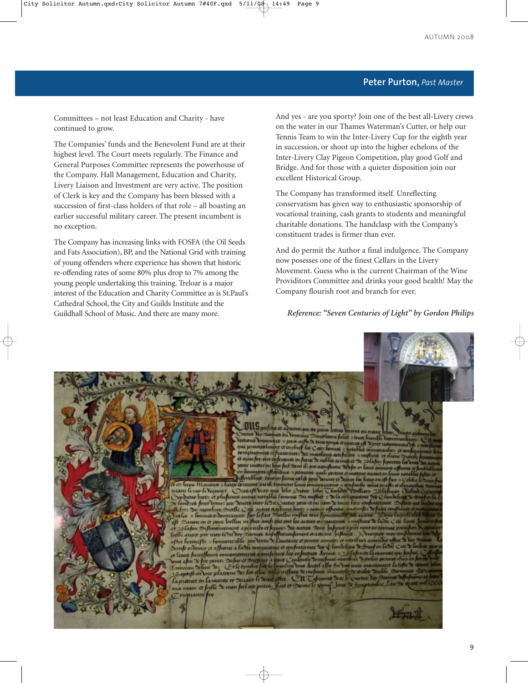### **Peter Purton,** *Past Master*

Committees – not least Education and Charity - have continued to grow.

The Companies' funds and the Benevolent Fund are at their highest level. The Court meets regularly. The Finance and General Purposes Committee represents the powerhouse of the Company. Hall Management, Education and Charity, Livery Liaison and Investment are very active. The position of Clerk is key and the Company has been blessed with a succession of first-class holders of that role – all boasting an earlier successful military career. The present incumbent is no exception.

The Company has increasing links with FOSFA (the Oil Seeds and Fats Association), BP, and the National Grid with training of young offenders where experience has shown that historic re-offending rates of some 80% plus drop to 7% among the young people undertaking this training. Treloar is a major interest of the Education and Charity Committee as is St.Paul's Cathedral School, the City and Guilds Institute and the Guildhall School of Music. And there are many more.

And yes - are you sporty? Join one of the best all-Livery crews on the water in our Thames Waterman's Cutter, or help our Tennis Team to win the Inter-Livery Cup for the eighth year in succession, or shoot up into the higher echelons of the Inter-Livery Clay Pigeon Competition, play good Golf and Bridge. And for those with a quieter disposition join our excellent Historical Group.

The Company has transformed itself. Unreflecting conservatism has given way to enthusiastic sponsorship of vocational training, cash grants to students and meaningful charitable donations. The handclasp with the Company's constituent trades is firmer than ever.

And do permit the Author a final indulgence. The Company now posesses one of the finest Cellars in the Livery Movement. Guess who is the current Chairman of the Wine Providitors Committee and drinks your good health! May the Company flourish root and branch for ever.

### *Reference: "Seven Centuries of Light" by Gordon Philips*

#### 0115 meline et al **BEND THEFTS TIFFIE OIL CORNER**

en du boyanung mutfeurne falur cheure fo et steuer humble ben<br>neosce eft Separt unte<br>netables cromonaufg unfile by oftene repairince v pare The Scheme tonus or cam que promunulment et enchaf les Come touses et contras et es pour moter en laur fait Dom de ont aconflume De fa en laure a montere effectiones a pomone quil postout crimettent awant e Juffemblece to

e en leurs Manons - heure comune ou di trouver leur comunication - et a<br>prant le cas le requiert - Ores of Doan que John Dirour John Charlen<br>Sydnons huez et plufoans autre moralles formues Du mother = X la com fondree four unus un Deuen mor lebit Suna pou crou un N low here fore beaut put Source is a set to the Source point of the New Count of the Selection of the Case of the Case of the Case of the Case of the Case of the Case of the Case of the Case of the Case of the Case of the ofthe homestic - homeon alle son bases X fautonts et musics annous et antibus and<br>South ordernic et affutue a facto commutaire et confeatanuse de 4 fault fixe X South<br>or faust faire flame commutations at teachiente for enf La pretent en la marche en Section de Come effece CII Communit Sere la Courtier Les ma num et feelle "x mon feel out puise. Fait et Some le vy  $-$ lour mquante fiv

bergen T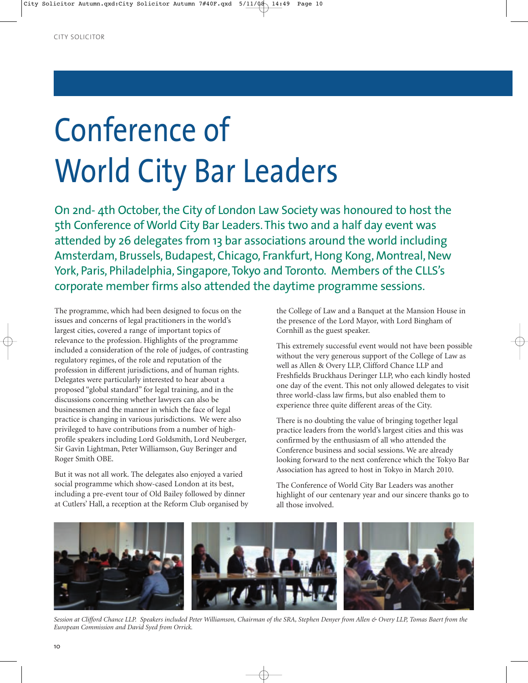# Conference of World City Bar Leaders

On 2nd- 4th October, the City of London Law Society was honoured to host the 5th Conference of World City Bar Leaders. This two and a half day event was attended by 26 delegates from 13 bar associations around the world including Amsterdam, Brussels, Budapest, Chicago, Frankfurt, Hong Kong, Montreal, New York, Paris, Philadelphia, Singapore, Tokyo and Toronto. Members of the CLLS's corporate member firms also attended the daytime programme sessions.

The programme, which had been designed to focus on the issues and concerns of legal practitioners in the world's largest cities, covered a range of important topics of relevance to the profession. Highlights of the programme included a consideration of the role of judges, of contrasting regulatory regimes, of the role and reputation of the profession in different jurisdictions, and of human rights. Delegates were particularly interested to hear about a proposed "global standard" for legal training, and in the discussions concerning whether lawyers can also be businessmen and the manner in which the face of legal practice is changing in various jurisdictions. We were also privileged to have contributions from a number of highprofile speakers including Lord Goldsmith, Lord Neuberger, Sir Gavin Lightman, Peter Williamson, Guy Beringer and Roger Smith OBE.

But it was not all work. The delegates also enjoyed a varied social programme which show-cased London at its best, including a pre-event tour of Old Bailey followed by dinner at Cutlers' Hall, a reception at the Reform Club organised by the College of Law and a Banquet at the Mansion House in the presence of the Lord Mayor, with Lord Bingham of Cornhill as the guest speaker.

This extremely successful event would not have been possible without the very generous support of the College of Law as well as Allen & Overy LLP, Clifford Chance LLP and Freshfields Bruckhaus Deringer LLP, who each kindly hosted one day of the event. This not only allowed delegates to visit three world-class law firms, but also enabled them to experience three quite different areas of the City.

There is no doubting the value of bringing together legal practice leaders from the world's largest cities and this was confirmed by the enthusiasm of all who attended the Conference business and social sessions. We are already looking forward to the next conference which the Tokyo Bar Association has agreed to host in Tokyo in March 2010.

The Conference of World City Bar Leaders was another highlight of our centenary year and our sincere thanks go to all those involved.



*Session at Clifford Chance LLP. Speakers included Peter Williamson, Chairman of the SRA, Stephen Denyer from Allen & Overy LLP, Tomas Baert from the European Commission and David Syed from Orrick.*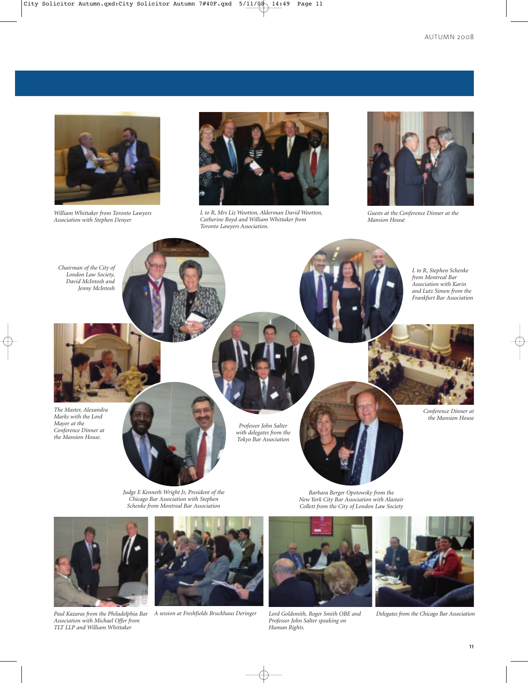

*William Whittaker from Toronto Lawyers Association with Stephen Denyer*



*L to R, Mrs Liz Wootton, Alderman David Wootton, Catherine Boyd and William Whittaker from Toronto Lawyers Association.*



*Guests at the Conference Dinner at the Mansion House*



*Judge E Kenneth Wright Jr, President of the Chicago Bar Association with Stephen Schenke from Montreal Bar Association*

*Barbara Berger Opotowsky from the New York City Bar Association with Alastair Collett from the City of London Law Society*



*Association with Michael Offer from TLT LLP and William Whittaker*



*Paul Kazaras from the Philadelphia Bar A session at Freshfields Bruckhaus Deringer Lord Goldsmith, Roger Smith OBE and Delegates from the Chicago Bar Association*



*Professor John Salter speaking on Human Rights.*

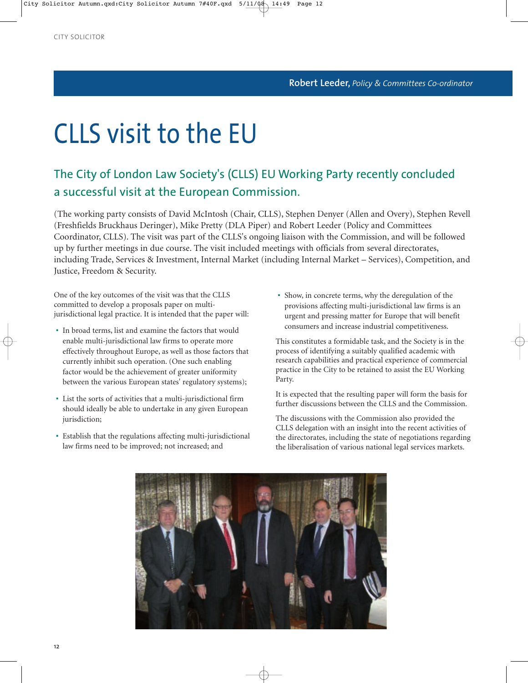# CLLS visit to the EU

## The City of London Law Society's (CLLS) EU Working Party recently concluded a successful visit at the European Commission.

(The working party consists of David McIntosh (Chair, CLLS), Stephen Denyer (Allen and Overy), Stephen Revell (Freshfields Bruckhaus Deringer), Mike Pretty (DLA Piper) and Robert Leeder (Policy and Committees Coordinator, CLLS). The visit was part of the CLLS's ongoing liaison with the Commission, and will be followed up by further meetings in due course. The visit included meetings with officials from several directorates, including Trade, Services & Investment, Internal Market (including Internal Market – Services), Competition, and Justice, Freedom & Security.

One of the key outcomes of the visit was that the CLLS committed to develop a proposals paper on multijurisdictional legal practice. It is intended that the paper will:

- In broad terms, list and examine the factors that would enable multi-jurisdictional law firms to operate more effectively throughout Europe, as well as those factors that currently inhibit such operation. (One such enabling factor would be the achievement of greater uniformity between the various European states' regulatory systems);
- List the sorts of activities that a multi-jurisdictional firm should ideally be able to undertake in any given European jurisdiction;
- Establish that the regulations affecting multi-jurisdictional law firms need to be improved; not increased; and

• Show, in concrete terms, why the deregulation of the provisions affecting multi-jurisdictional law firms is an urgent and pressing matter for Europe that will benefit consumers and increase industrial competitiveness.

This constitutes a formidable task, and the Society is in the process of identifying a suitably qualified academic with research capabilities and practical experience of commercial practice in the City to be retained to assist the EU Working Party.

It is expected that the resulting paper will form the basis for further discussions between the CLLS and the Commission.

The discussions with the Commission also provided the CLLS delegation with an insight into the recent activities of the directorates, including the state of negotiations regarding the liberalisation of various national legal services markets.

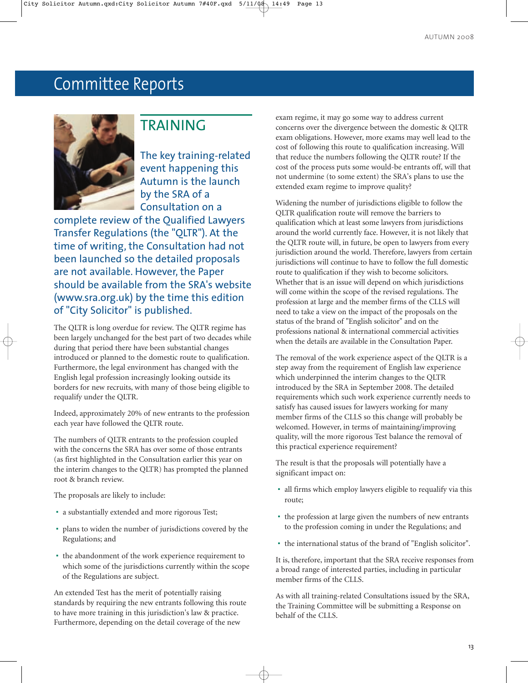# Committee Reports



### TRAINING

The key training-related event happening this Autumn is the launch by the SRA of a Consultation on a

complete review of the Qualified Lawyers Transfer Regulations (the "QLTR"). At the time of writing, the Consultation had not been launched so the detailed proposals are not available. However, the Paper should be available from the SRA's website (www.sra.org.uk) by the time this edition of "City Solicitor" is published.

The QLTR is long overdue for review. The QLTR regime has been largely unchanged for the best part of two decades while during that period there have been substantial changes introduced or planned to the domestic route to qualification. Furthermore, the legal environment has changed with the English legal profession increasingly looking outside its borders for new recruits, with many of those being eligible to requalify under the QLTR.

Indeed, approximately 20% of new entrants to the profession each year have followed the QLTR route.

The numbers of QLTR entrants to the profession coupled with the concerns the SRA has over some of those entrants (as first highlighted in the Consultation earlier this year on the interim changes to the QLTR) has prompted the planned root & branch review.

The proposals are likely to include:

- a substantially extended and more rigorous Test;
- plans to widen the number of jurisdictions covered by the Regulations; and
- the abandonment of the work experience requirement to which some of the jurisdictions currently within the scope of the Regulations are subject.

An extended Test has the merit of potentially raising standards by requiring the new entrants following this route to have more training in this jurisdiction's law & practice. Furthermore, depending on the detail coverage of the new

exam regime, it may go some way to address current concerns over the divergence between the domestic & QLTR exam obligations. However, more exams may well lead to the cost of following this route to qualification increasing. Will that reduce the numbers following the QLTR route? If the cost of the process puts some would-be entrants off, will that not undermine (to some extent) the SRA's plans to use the extended exam regime to improve quality?

Widening the number of jurisdictions eligible to follow the QLTR qualification route will remove the barriers to qualification which at least some lawyers from jurisdictions around the world currently face. However, it is not likely that the QLTR route will, in future, be open to lawyers from every jurisdiction around the world. Therefore, lawyers from certain jurisdictions will continue to have to follow the full domestic route to qualification if they wish to become solicitors. Whether that is an issue will depend on which jurisdictions will come within the scope of the revised regulations. The profession at large and the member firms of the CLLS will need to take a view on the impact of the proposals on the status of the brand of "English solicitor" and on the professions national & international commercial activities when the details are available in the Consultation Paper.

The removal of the work experience aspect of the QLTR is a step away from the requirement of English law experience which underpinned the interim changes to the QLTR introduced by the SRA in September 2008. The detailed requirements which such work experience currently needs to satisfy has caused issues for lawyers working for many member firms of the CLLS so this change will probably be welcomed. However, in terms of maintaining/improving quality, will the more rigorous Test balance the removal of this practical experience requirement?

The result is that the proposals will potentially have a significant impact on:

- all firms which employ lawyers eligible to requalify via this route;
- the profession at large given the numbers of new entrants to the profession coming in under the Regulations; and
- the international status of the brand of "English solicitor".

It is, therefore, important that the SRA receive responses from a broad range of interested parties, including in particular member firms of the CLLS.

As with all training-related Consultations issued by the SRA, the Training Committee will be submitting a Response on behalf of the CLLS.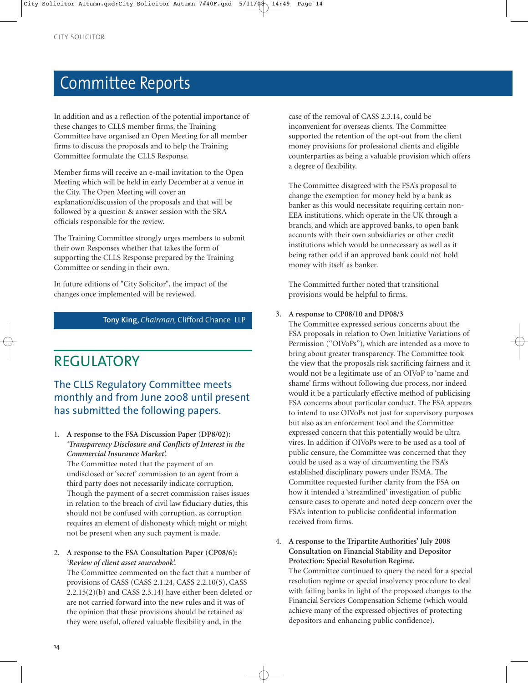# Committee Reports

In addition and as a reflection of the potential importance of these changes to CLLS member firms, the Training Committee have organised an Open Meeting for all member firms to discuss the proposals and to help the Training Committee formulate the CLLS Response.

Member firms will receive an e-mail invitation to the Open Meeting which will be held in early December at a venue in the City. The Open Meeting will cover an explanation/discussion of the proposals and that will be followed by a question & answer session with the SRA officials responsible for the review.

The Training Committee strongly urges members to submit their own Responses whether that takes the form of supporting the CLLS Response prepared by the Training Committee or sending in their own.

In future editions of "City Solicitor", the impact of the changes once implemented will be reviewed.

### **Tony King,** *Chairman,* Clifford Chance LLP

# REGULATORY

### The CLLS Regulatory Committee meets monthly and from June 2008 until present has submitted the following papers.

### 1. **A response to the FSA Discussion Paper (DP8/02):** *'Transparency Disclosure and Conflicts of Interest in the Commercial Insurance Market'.*

The Committee noted that the payment of an undisclosed or 'secret' commission to an agent from a third party does not necessarily indicate corruption. Though the payment of a secret commission raises issues in relation to the breach of civil law fiduciary duties, this should not be confused with corruption, as corruption requires an element of dishonesty which might or might not be present when any such payment is made.

### 2. **A response to the FSA Consultation Paper (CP08/6):** *'Review of client asset sourcebook'.*

The Committee commented on the fact that a number of provisions of CASS (CASS 2.1.24, CASS 2.2.10(5), CASS 2.2.15(2)(b) and CASS 2.3.14) have either been deleted or are not carried forward into the new rules and it was of the opinion that these provisions should be retained as they were useful, offered valuable flexibility and, in the

case of the removal of CASS 2.3.14, could be inconvenient for overseas clients. The Committee supported the retention of the opt-out from the client money provisions for professional clients and eligible counterparties as being a valuable provision which offers a degree of flexibility.

The Committee disagreed with the FSA's proposal to change the exemption for money held by a bank as banker as this would necessitate requiring certain non-EEA institutions, which operate in the UK through a branch, and which are approved banks, to open bank accounts with their own subsidiaries or other credit institutions which would be unnecessary as well as it being rather odd if an approved bank could not hold money with itself as banker.

The Committed further noted that transitional provisions would be helpful to firms.

### 3. **A response to CP08/10 and DP08/3**

The Committee expressed serious concerns about the FSA proposals in relation to Own Initiative Variations of Permission ("OIVoPs"), which are intended as a move to bring about greater transparency. The Committee took the view that the proposals risk sacrificing fairness and it would not be a legitimate use of an OIVoP to 'name and shame' firms without following due process, nor indeed would it be a particularly effective method of publicising FSA concerns about particular conduct. The FSA appears to intend to use OIVoPs not just for supervisory purposes but also as an enforcement tool and the Committee expressed concern that this potentially would be ultra vires. In addition if OIVoPs were to be used as a tool of public censure, the Committee was concerned that they could be used as a way of circumventing the FSA's established disciplinary powers under FSMA. The Committee requested further clarity from the FSA on how it intended a 'streamlined' investigation of public censure cases to operate and noted deep concern over the FSA's intention to publicise confidential information received from firms.

4. **A response to the Tripartite Authorities' July 2008 Consultation on Financial Stability and Depositor Protection: Special Resolution Regime.**

The Committee continued to query the need for a special resolution regime or special insolvency procedure to deal with failing banks in light of the proposed changes to the Financial Services Compensation Scheme (which would achieve many of the expressed objectives of protecting depositors and enhancing public confidence).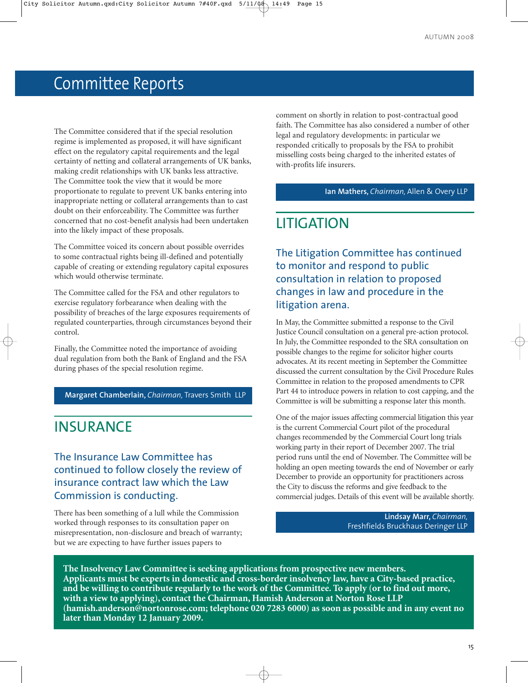# Committee Reports

The Committee considered that if the special resolution regime is implemented as proposed, it will have significant effect on the regulatory capital requirements and the legal certainty of netting and collateral arrangements of UK banks, making credit relationships with UK banks less attractive. The Committee took the view that it would be more proportionate to regulate to prevent UK banks entering into inappropriate netting or collateral arrangements than to cast doubt on their enforceability. The Committee was further concerned that no cost-benefit analysis had been undertaken into the likely impact of these proposals.

The Committee voiced its concern about possible overrides to some contractual rights being ill-defined and potentially capable of creating or extending regulatory capital exposures which would otherwise terminate.

The Committee called for the FSA and other regulators to exercise regulatory forbearance when dealing with the possibility of breaches of the large exposures requirements of regulated counterparties, through circumstances beyond their control.

Finally, the Committee noted the importance of avoiding dual regulation from both the Bank of England and the FSA during phases of the special resolution regime.

**Margaret Chamberlain,** *Chairman,* Travers Smith LLP

## **INSURANCE**

### The Insurance Law Committee has continued to follow closely the review of insurance contract law which the Law Commission is conducting.

There has been something of a lull while the Commission worked through responses to its consultation paper on misrepresentation, non-disclosure and breach of warranty; but we are expecting to have further issues papers to

comment on shortly in relation to post-contractual good faith. The Committee has also considered a number of other legal and regulatory developments: in particular we responded critically to proposals by the FSA to prohibit misselling costs being charged to the inherited estates of with-profits life insurers.

### **Ian Mathers,** *Chairman,* Allen & Overy LLP

### LITIGATION

The Litigation Committee has continued to monitor and respond to public consultation in relation to proposed changes in law and procedure in the litigation arena.

In May, the Committee submitted a response to the Civil Justice Council consultation on a general pre-action protocol. In July, the Committee responded to the SRA consultation on possible changes to the regime for solicitor higher courts advocates. At its recent meeting in September the Committee discussed the current consultation by the Civil Procedure Rules Committee in relation to the proposed amendments to CPR Part 44 to introduce powers in relation to cost capping, and the Committee is will be submitting a response later this month.

One of the major issues affecting commercial litigation this year is the current Commercial Court pilot of the procedural changes recommended by the Commercial Court long trials working party in their report of December 2007. The trial period runs until the end of November. The Committee will be holding an open meeting towards the end of November or early December to provide an opportunity for practitioners across the City to discuss the reforms and give feedback to the commercial judges. Details of this event will be available shortly.

> **Lindsay Marr,** *Chairman,*  Freshfields Bruckhaus Deringer LLP

**The Insolvency Law Committee is seeking applications from prospective new members. Applicants must be experts in domestic and cross-border insolvency law, have a City-based practice, and be willing to contribute regularly to the work of the Committee. To apply (or to find out more, with a view to applying), contact the Chairman, Hamish Anderson at Norton Rose LLP (hamish.anderson@nortonrose.com; telephone 020 7283 6000) as soon as possible and in any event no later than Monday 12 January 2009.**